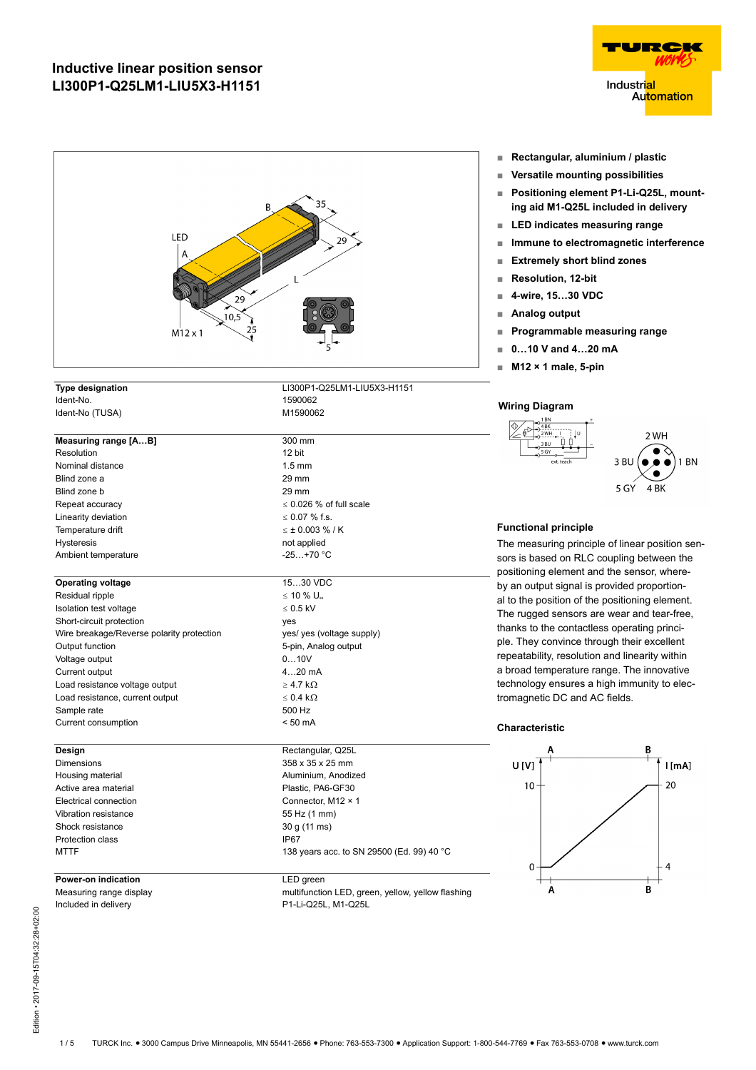| 35<br>B<br>LED<br>29<br>А<br>29<br>10,5<br>$\frac{25}{1}$<br>$M12 \times 1$ |                                                                |                    |  |
|-----------------------------------------------------------------------------|----------------------------------------------------------------|--------------------|--|
| <b>Type designation</b>                                                     | LI300P1-Q25LM1-LIU5X3-H1151                                    |                    |  |
| Ident-No.                                                                   | 1590062                                                        |                    |  |
| Ident-No (TUSA)                                                             | M1590062                                                       | Wiring             |  |
| Measuring range [AB]                                                        | 300 mm                                                         |                    |  |
| Resolution                                                                  | 12 bit                                                         |                    |  |
| Nominal distance                                                            | $1.5 \text{ mm}$                                               |                    |  |
| Blind zone a                                                                | 29 mm                                                          |                    |  |
| Blind zone b                                                                | 29 mm                                                          |                    |  |
| Repeat accuracy                                                             | $\leq$ 0.026 % of full scale                                   |                    |  |
| Linearity deviation                                                         | $\leq$ 0.07 % f.s.                                             |                    |  |
| Temperature drift                                                           | $\leq \pm 0.003 \% / K$                                        | Functi             |  |
| <b>Hysteresis</b>                                                           | not applied                                                    | The m              |  |
| Ambient temperature                                                         | $-25+70 °C$                                                    | sors is            |  |
| <b>Operating voltage</b>                                                    | 1530 VDC                                                       | positio<br>by an o |  |
| Residual ripple                                                             | $\leq$ 10 % $U_{\rm ss}$                                       | al to th           |  |
| Isolation test voltage                                                      | $\leq 0.5$ kV                                                  | The ru             |  |
| Short-circuit protection                                                    | yes                                                            | thanks             |  |
| Wire breakage/Reverse polarity protection                                   | yes/ yes (voltage supply)                                      |                    |  |
| Output function                                                             | 5-pin, Analog output                                           | ple. Th            |  |
| Voltage output                                                              | 010V                                                           | repeat             |  |
| Current output                                                              | $420$ mA                                                       | a broa             |  |
| Load resistance voltage output                                              | $\geq$ 4.7 k $\Omega$                                          | techno             |  |
| Load resistance, current output                                             | $\leq 0.4$ k $\Omega$                                          | tromag             |  |
| Sample rate                                                                 | 500 Hz                                                         |                    |  |
| Current consumption                                                         | $< 50$ mA                                                      | Chara              |  |
| Design                                                                      | Rectangular, Q25L                                              |                    |  |
| <b>Dimensions</b>                                                           | 358 x 35 x 25 mm                                               | U [ˈ               |  |
| Housing material                                                            | Aluminium, Anodized                                            |                    |  |
| Active area material                                                        | Plastic, PA6-GF30                                              |                    |  |
| Electrical connection                                                       | Connector, M12 × 1                                             |                    |  |
| Vibration resistance                                                        | 55 Hz (1 mm)                                                   |                    |  |
| Shock resistance                                                            | 30 g (11 ms)                                                   |                    |  |
| Protection class<br><b>MTTF</b>                                             | IP67<br>138 years acc. to SN 29500 (Ed. 99) 40 °C              |                    |  |
|                                                                             |                                                                |                    |  |
| Power-on indication<br>Measuring range display                              | LED green<br>multifunction LED, green, yellow, yellow flashing |                    |  |

Included in delivery P1-Li-Q25L, M1-Q25L

**Industrial Automation** 

HZ

TURC

- **■ Rectangular, aluminium / plastic**
- **■ Versatile mounting possibilities**
- **■ Positioning element P1-Li-Q25L, mounting aid M1-Q25L included in delivery**
- **■ LED indicates measuring range**
- **■ Immune to electromagnetic interference**
- **■ Extremely short blind zones**
- **■ Resolution, 12-bit**
- **■ 4**-**wire, 15…30 VDC**
- **■ Analog output**
- **■ Programmable measuring range**
- **■ 0…10 V and 4…20 mA**
- **■ M12 × 1 male, 5-pin**

### **Wiring Diagram**



### **Functional principle**

easuring principle of linear position senbased on RLC coupling between the ning element and the sensor, whereoutput signal is provided proportione position of the positioning element. gged sensors are wear and tear-free, to the contactless operating princiney convince through their excellent ability, resolution and linearity within d temperature range. The innovative logy ensures a high immunity to elecgnetic DC and AC fields.

#### **Characteristic**

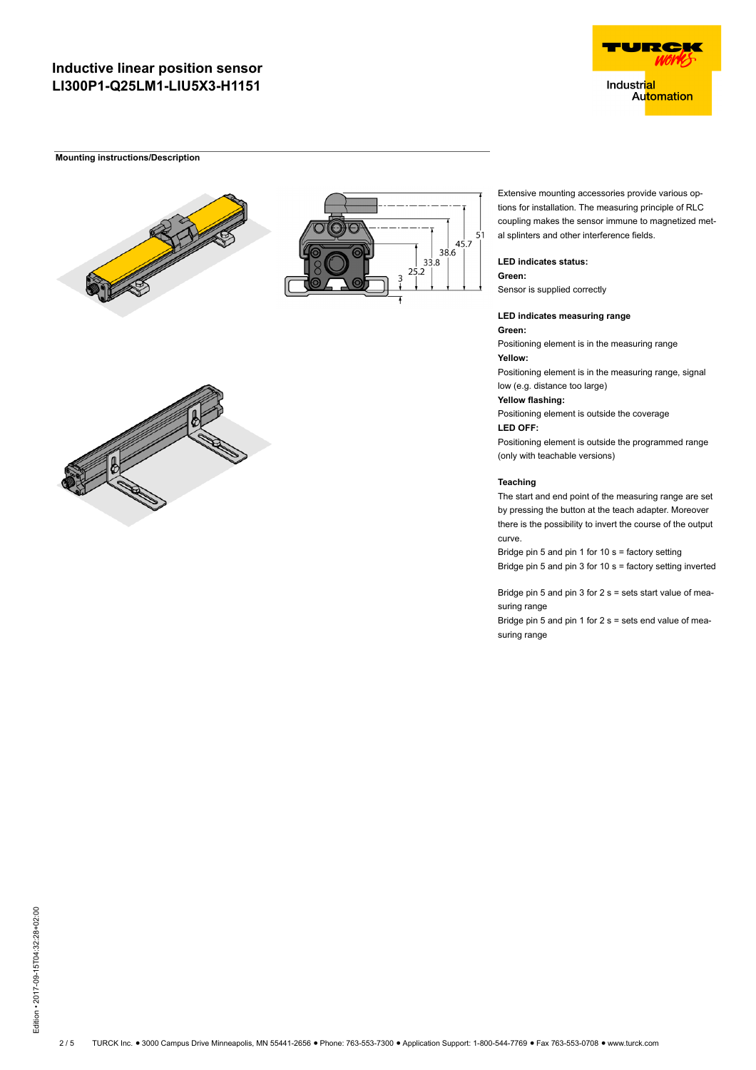#### **Mounting instructions/Description**





Extensive mounting accessories provide various options for installation. The measuring principle of RLC coupling makes the sensor immune to magnetized metal splinters and other interference fields.

**LED indicates status:**

**Green:** Sensor is supplied correctly

**LED indicates measuring range**

**Green:** Positioning element is in the measuring range **Yellow:** Positioning element is in the measuring range, signal low (e.g. distance too large)

**Yellow flashing:**

Positioning element is outside the coverage **LED OFF:**

Positioning element is outside the programmed range (only with teachable versions)

#### **Teaching**

The start and end point of the measuring range are set by pressing the button at the teach adapter. Moreover there is the possibility to invert the course of the output curve.

Bridge pin 5 and pin 1 for 10 s = factory setting Bridge pin 5 and pin 3 for 10 s = factory setting inverted

Bridge pin 5 and pin 3 for 2 s = sets start value of measuring range

Bridge pin 5 and pin 1 for 2 s = sets end value of measuring range



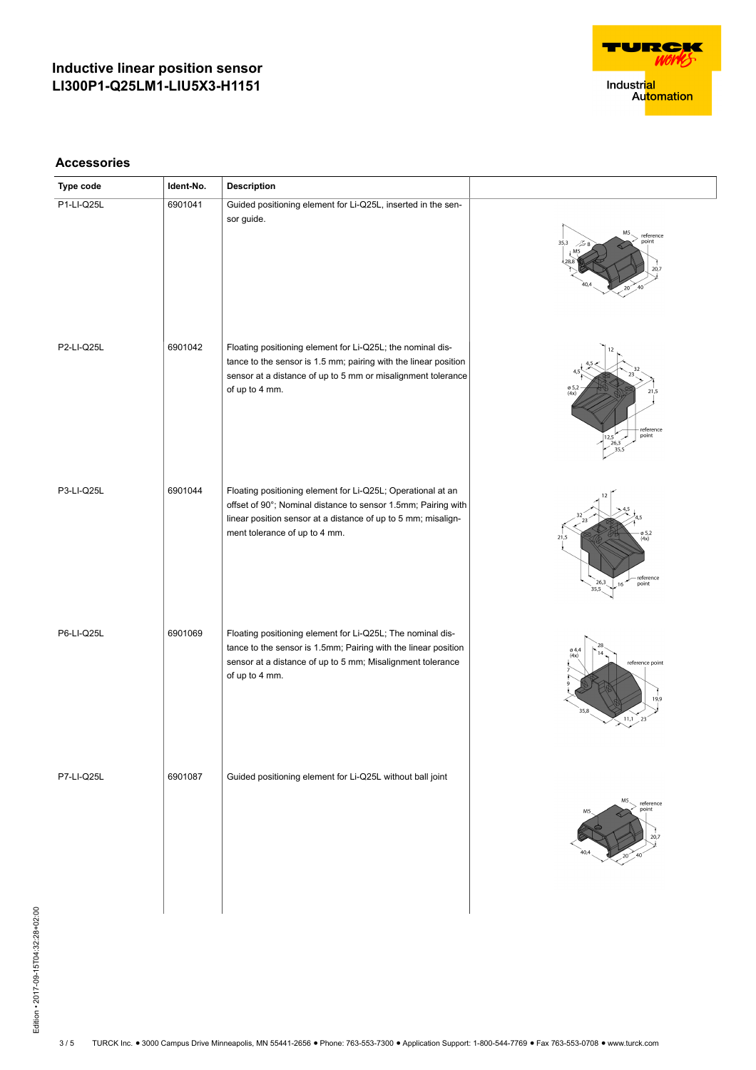

**Accessories**

| Type code         | Ident-No. | Description                                                                                                                                                                                                                    |                                                                      |
|-------------------|-----------|--------------------------------------------------------------------------------------------------------------------------------------------------------------------------------------------------------------------------------|----------------------------------------------------------------------|
| P1-LI-Q25L        | 6901041   | Guided positioning element for Li-Q25L, inserted in the sen-<br>sor guide.                                                                                                                                                     | M5<br>reference<br>point<br>35,3<br>25 (<br>20,7<br>20               |
| P2-LI-Q25L        | 6901042   | Floating positioning element for Li-Q25L; the nominal dis-<br>tance to the sensor is 1.5 mm; pairing with the linear position<br>sensor at a distance of up to 5 mm or misalignment tolerance<br>of up to 4 mm.                | ø 5,<br>(4x)<br>21,5<br>reference<br>point<br> 12,5 <br>26,3         |
| P3-LI-Q25L        | 6901044   | Floating positioning element for Li-Q25L; Operational at an<br>offset of 90°; Nominal distance to sensor 1.5mm; Pairing with<br>linear position sensor at a distance of up to 5 mm; misalign-<br>ment tolerance of up to 4 mm. | ø 5,2<br>(4x)<br>- reference<br>point<br>26,3<br>16<br>35,5          |
| P6-LI-Q25L        | 6901069   | Floating positioning element for Li-Q25L; The nominal dis-<br>tance to the sensor is 1.5mm; Pairing with the linear position<br>sensor at a distance of up to 5 mm; Misalignment tolerance<br>of up to 4 mm.                   | ø4,4<br>(4x)<br>reference point<br>19,9<br>35,8<br>11,1<br>23        |
| <b>P7-LI-Q25L</b> | 6901087   | Guided positioning element for Li-Q25L without ball joint                                                                                                                                                                      | M <sub>5</sub><br>reference<br>point<br>M <sub>5</sub><br>20,7<br>20 |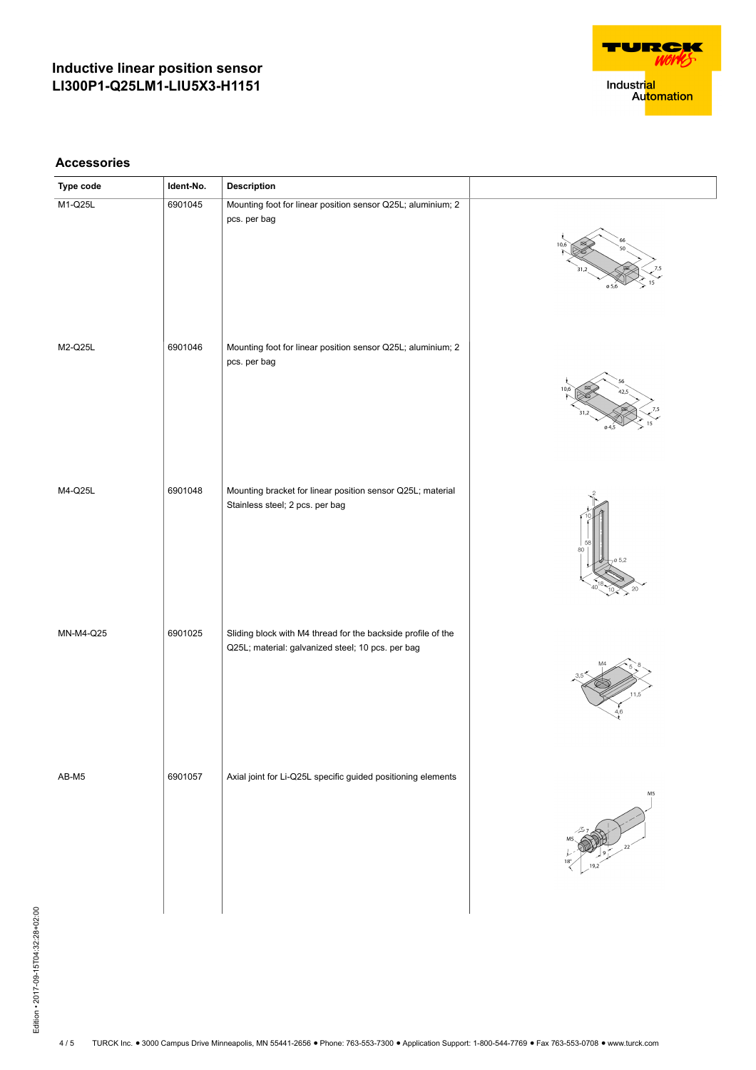

**Accessories**

| Type code | Ident-No. | Description                                                                                                       |       |
|-----------|-----------|-------------------------------------------------------------------------------------------------------------------|-------|
| M1-Q25L   | 6901045   | Mounting foot for linear position sensor Q25L; aluminium; 2<br>pcs. per bag                                       | 0.5.6 |
| M2-Q25L   | 6901046   | Mounting foot for linear position sensor Q25L; aluminium; 2<br>pcs. per bag                                       |       |
| M4-Q25L   | 6901048   | Mounting bracket for linear position sensor Q25L; material<br>Stainless steel; 2 pcs. per bag                     | 80    |
| MN-M4-Q25 | 6901025   | Sliding block with M4 thread for the backside profile of the<br>Q25L; material: galvanized steel; 10 pcs. per bag |       |
| AB-M5     | 6901057   | Axial joint for Li-Q25L specific guided positioning elements                                                      | M5    |